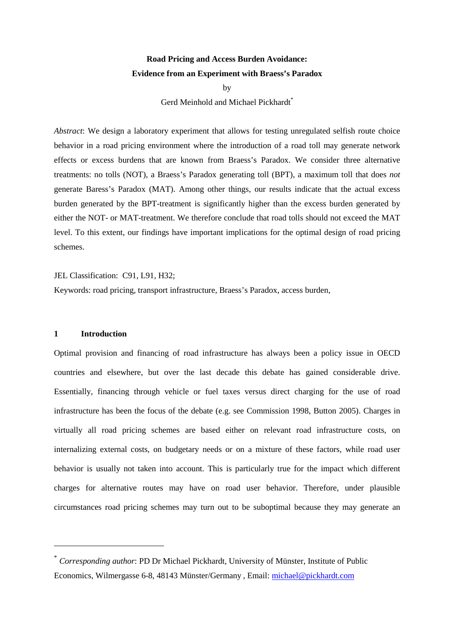# **Road Pricing and Access Burden Avoidance: Evidence from an Experiment with Braess's Paradox**

by

Gerd Meinhold and Michael Pickhardt<sup>\*</sup>

*Abstract*: We design a laboratory experiment that allows for testing unregulated selfish route choice behavior in a road pricing environment where the introduction of a road toll may generate network effects or excess burdens that are known from Braess's Paradox. We consider three alternative treatments: no tolls (NOT), a Braess's Paradox generating toll (BPT), a maximum toll that does *not* generate Baress's Paradox (MAT). Among other things, our results indicate that the actual excess burden generated by the BPT-treatment is significantly higher than the excess burden generated by either the NOT- or MAT-treatment. We therefore conclude that road tolls should not exceed the MAT level. To this extent, our findings have important implications for the optimal design of road pricing schemes.

JEL Classification: C91, L91, H32;

Keywords: road pricing, transport infrastructure, Braess's Paradox, access burden,

#### **1 Introduction**

 $\overline{a}$ 

Optimal provision and financing of road infrastructure has always been a policy issue in OECD countries and elsewhere, but over the last decade this debate has gained considerable drive. Essentially, financing through vehicle or fuel taxes versus direct charging for the use of road infrastructure has been the focus of the debate (e.g. see Commission 1998, Button 2005). Charges in virtually all road pricing schemes are based either on relevant road infrastructure costs, on internalizing external costs, on budgetary needs or on a mixture of these factors, while road user behavior is usually not taken into account. This is particularly true for the impact which different charges for alternative routes may have on road user behavior. Therefore, under plausible circumstances road pricing schemes may turn out to be suboptimal because they may generate an

<sup>\*</sup> *Corresponding author*: PD Dr Michael Pickhardt*,* University of Münster, Institute of Public Economics, Wilmergasse 6-8, 48143 Münster/Germany , Email: michael@pickhardt.com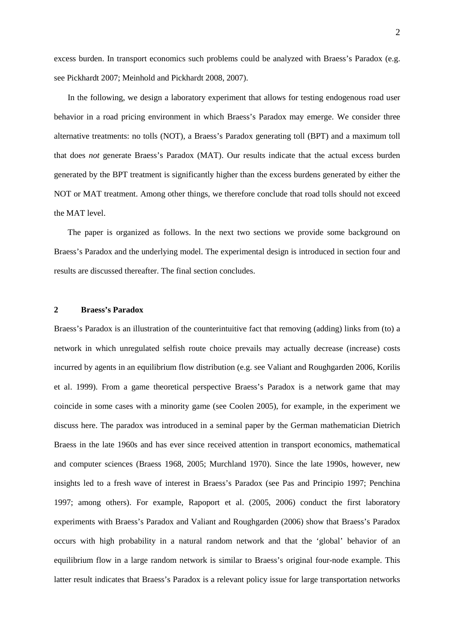excess burden. In transport economics such problems could be analyzed with Braess's Paradox (e.g. see Pickhardt 2007; Meinhold and Pickhardt 2008, 2007).

In the following, we design a laboratory experiment that allows for testing endogenous road user behavior in a road pricing environment in which Braess's Paradox may emerge. We consider three alternative treatments: no tolls (NOT), a Braess's Paradox generating toll (BPT) and a maximum toll that does *not* generate Braess's Paradox (MAT). Our results indicate that the actual excess burden generated by the BPT treatment is significantly higher than the excess burdens generated by either the NOT or MAT treatment. Among other things, we therefore conclude that road tolls should not exceed the MAT level.

The paper is organized as follows. In the next two sections we provide some background on Braess's Paradox and the underlying model. The experimental design is introduced in section four and results are discussed thereafter. The final section concludes.

#### **2 Braess's Paradox**

Braess's Paradox is an illustration of the counterintuitive fact that removing (adding) links from (to) a network in which unregulated selfish route choice prevails may actually decrease (increase) costs incurred by agents in an equilibrium flow distribution (e.g. see Valiant and Roughgarden 2006, Korilis et al. 1999). From a game theoretical perspective Braess's Paradox is a network game that may coincide in some cases with a minority game (see Coolen 2005), for example, in the experiment we discuss here. The paradox was introduced in a seminal paper by the German mathematician Dietrich Braess in the late 1960s and has ever since received attention in transport economics, mathematical and computer sciences (Braess 1968, 2005; Murchland 1970). Since the late 1990s, however, new insights led to a fresh wave of interest in Braess's Paradox (see Pas and Principio 1997; Penchina 1997; among others). For example, Rapoport et al. (2005, 2006) conduct the first laboratory experiments with Braess's Paradox and Valiant and Roughgarden (2006) show that Braess's Paradox occurs with high probability in a natural random network and that the 'global' behavior of an equilibrium flow in a large random network is similar to Braess's original four-node example. This latter result indicates that Braess's Paradox is a relevant policy issue for large transportation networks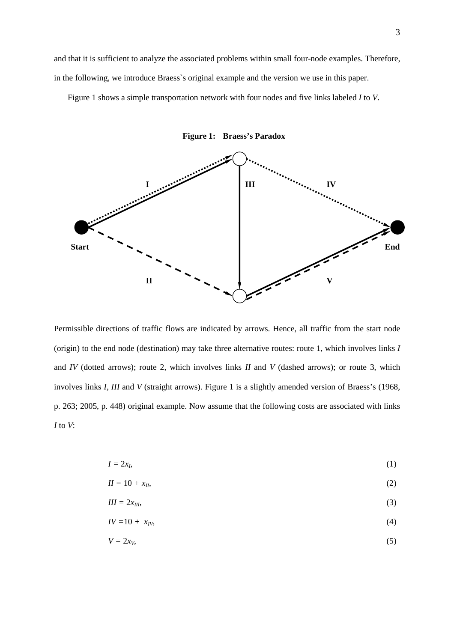and that it is sufficient to analyze the associated problems within small four-node examples. Therefore, in the following, we introduce Braess`s original example and the version we use in this paper.

Figure 1 shows a simple transportation network with four nodes and five links labeled *I* to *V*.



**Figure 1: Braess's Paradox** 

Permissible directions of traffic flows are indicated by arrows. Hence, all traffic from the start node (origin) to the end node (destination) may take three alternative routes: route 1, which involves links *I* and *IV* (dotted arrows); route 2, which involves links *II* and *V* (dashed arrows); or route 3, which involves links *I*, *III* and *V* (straight arrows). Figure 1 is a slightly amended version of Braess's (1968, p. 263; 2005, p. 448) original example. Now assume that the following costs are associated with links *I* to *V*:

$$
I = 2x_I,\tag{1}
$$

$$
II = 10 + x_{II},\tag{2}
$$

$$
III = 2x_{III},\tag{3}
$$

$$
IV=10+\ x_{IV},\tag{4}
$$

$$
V = 2x_V, \tag{5}
$$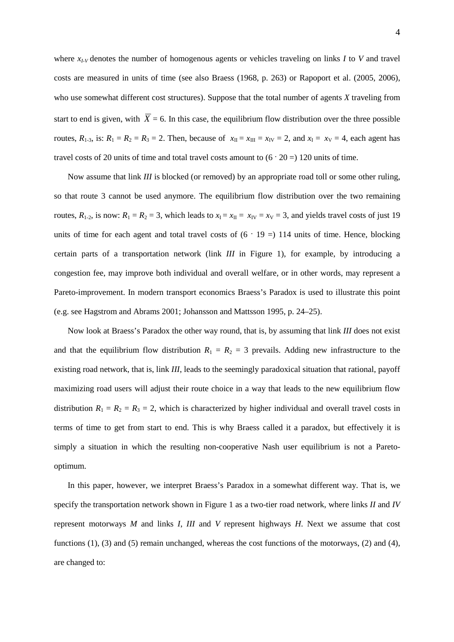where *x<sub>I-V</sub>* denotes the number of homogenous agents or vehicles traveling on links *I* to *V* and travel costs are measured in units of time (see also Braess (1968, p. 263) or Rapoport et al. (2005, 2006), who use somewhat different cost structures). Suppose that the total number of agents *X* traveling from start to end is given, with  $\overline{X} = 6$ . In this case, the equilibrium flow distribution over the three possible routes,  $R_{1-3}$ , is:  $R_1 = R_2 = R_3 = 2$ . Then, because of  $x_{II} = x_{III} = x_{IV} = 2$ , and  $x_{I} = x_{V} = 4$ , each agent has travel costs of 20 units of time and total travel costs amount to  $(6 \cdot 20) = 120$  units of time.

Now assume that link *III* is blocked (or removed) by an appropriate road toll or some other ruling, so that route 3 cannot be used anymore. The equilibrium flow distribution over the two remaining routes,  $R_{1-2}$ , is now:  $R_1 = R_2 = 3$ , which leads to  $x_1 = x_{II} = x_{IV} = x_V = 3$ , and yields travel costs of just 19 units of time for each agent and total travel costs of  $(6 \cdot 19 =) 114$  units of time. Hence, blocking certain parts of a transportation network (link *III* in Figure 1), for example, by introducing a congestion fee, may improve both individual and overall welfare, or in other words, may represent a Pareto-improvement. In modern transport economics Braess's Paradox is used to illustrate this point (e.g. see Hagstrom and Abrams 2001; Johansson and Mattsson 1995, p. 24–25).

Now look at Braess's Paradox the other way round, that is, by assuming that link *III* does not exist and that the equilibrium flow distribution  $R_1 = R_2 = 3$  prevails. Adding new infrastructure to the existing road network, that is, link *III*, leads to the seemingly paradoxical situation that rational, payoff maximizing road users will adjust their route choice in a way that leads to the new equilibrium flow distribution  $R_1 = R_2 = R_3 = 2$ , which is characterized by higher individual and overall travel costs in terms of time to get from start to end. This is why Braess called it a paradox, but effectively it is simply a situation in which the resulting non-cooperative Nash user equilibrium is not a Paretooptimum.

In this paper, however, we interpret Braess's Paradox in a somewhat different way. That is, we specify the transportation network shown in Figure 1 as a two-tier road network, where links *II* and *IV* represent motorways *M* and links *I*, *III* and *V* represent highways *H*. Next we assume that cost functions (1), (3) and (5) remain unchanged, whereas the cost functions of the motorways, (2) and (4), are changed to: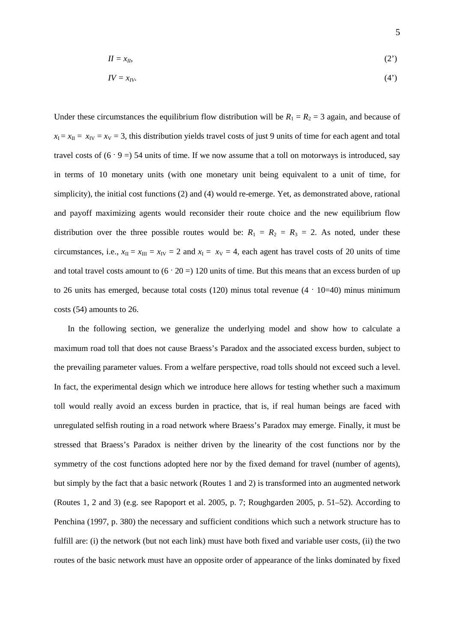$$
II = x_{II},\tag{2'}
$$

$$
IV = x_{IV}.\tag{4'}
$$

Under these circumstances the equilibrium flow distribution will be  $R_1 = R_2 = 3$  again, and because of  $x_I = x_{II} = x_{IV} = x_V = 3$ , this distribution yields travel costs of just 9 units of time for each agent and total travel costs of  $(6 \cdot 9) = 54$  units of time. If we now assume that a toll on motorways is introduced, say in terms of 10 monetary units (with one monetary unit being equivalent to a unit of time, for simplicity), the initial cost functions (2) and (4) would re-emerge. Yet, as demonstrated above, rational and payoff maximizing agents would reconsider their route choice and the new equilibrium flow distribution over the three possible routes would be:  $R_1 = R_2 = R_3 = 2$ . As noted, under these circumstances, i.e.,  $x_{II} = x_{III} = x_{IV} = 2$  and  $x_{I} = x_{V} = 4$ , each agent has travel costs of 20 units of time and total travel costs amount to  $(6 \cdot 20 =) 120$  units of time. But this means that an excess burden of up to 26 units has emerged, because total costs (120) minus total revenue  $(4 \cdot 10=40)$  minus minimum costs (54) amounts to 26.

In the following section, we generalize the underlying model and show how to calculate a maximum road toll that does not cause Braess's Paradox and the associated excess burden, subject to the prevailing parameter values. From a welfare perspective, road tolls should not exceed such a level. In fact, the experimental design which we introduce here allows for testing whether such a maximum toll would really avoid an excess burden in practice, that is, if real human beings are faced with unregulated selfish routing in a road network where Braess's Paradox may emerge. Finally, it must be stressed that Braess's Paradox is neither driven by the linearity of the cost functions nor by the symmetry of the cost functions adopted here nor by the fixed demand for travel (number of agents), but simply by the fact that a basic network (Routes 1 and 2) is transformed into an augmented network (Routes 1, 2 and 3) (e.g. see Rapoport et al. 2005, p. 7; Roughgarden 2005, p. 51–52). According to Penchina (1997, p. 380) the necessary and sufficient conditions which such a network structure has to fulfill are: (i) the network (but not each link) must have both fixed and variable user costs, (ii) the two routes of the basic network must have an opposite order of appearance of the links dominated by fixed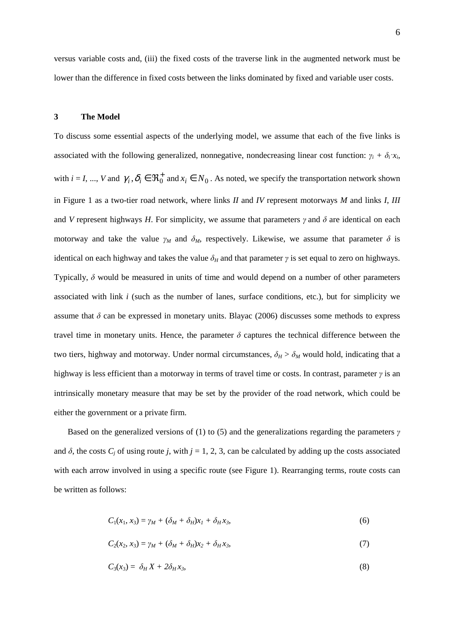versus variable costs and, (iii) the fixed costs of the traverse link in the augmented network must be lower than the difference in fixed costs between the links dominated by fixed and variable user costs.

#### **3 The Model**

To discuss some essential aspects of the underlying model, we assume that each of the five links is associated with the following generalized, nonnegative, nondecreasing linear cost function:  $\gamma_i + \delta_i x_i$ , with  $i = I, ..., V$  and  $\gamma_i, \delta_i \in \mathbb{R}_0^+$  and  $x_i \in N_0$ . As noted, we specify the transportation network shown in Figure 1 as a two-tier road network, where links *II* and *IV* represent motorways *M* and links *I*, *III* and *V* represent highways *H*. For simplicity, we assume that parameters  $\gamma$  and  $\delta$  are identical on each motorway and take the value  $\gamma_M$  and  $\delta_M$ , respectively. Likewise, we assume that parameter  $\delta$  is identical on each highway and takes the value  $\delta_H$  and that parameter  $\gamma$  is set equal to zero on highways. Typically,  $\delta$  would be measured in units of time and would depend on a number of other parameters associated with link *i* (such as the number of lanes, surface conditions, etc.), but for simplicity we assume that  $\delta$  can be expressed in monetary units. Blayac (2006) discusses some methods to express travel time in monetary units. Hence, the parameter  $\delta$  captures the technical difference between the two tiers, highway and motorway. Under normal circumstances,  $\delta_H > \delta_M$  would hold, indicating that a highway is less efficient than a motorway in terms of travel time or costs. In contrast, parameter  $\gamma$  is an intrinsically monetary measure that may be set by the provider of the road network, which could be either the government or a private firm.

Based on the generalized versions of (1) to (5) and the generalizations regarding the parameters  $\gamma$ and  $\delta$ , the costs  $C_i$  of using route *j*, with  $j = 1, 2, 3$ , can be calculated by adding up the costs associated with each arrow involved in using a specific route (see Figure 1). Rearranging terms, route costs can be written as follows:

$$
C_1(x_1, x_3) = \gamma_M + (\delta_M + \delta_H)x_1 + \delta_H x_3, \qquad (6)
$$

$$
C_2(x_2, x_3) = \gamma_M + (\delta_M + \delta_H)x_2 + \delta_H x_3,\tag{7}
$$

$$
C_3(x_3) = \delta_H X + 2\delta_H x_3,\tag{8}
$$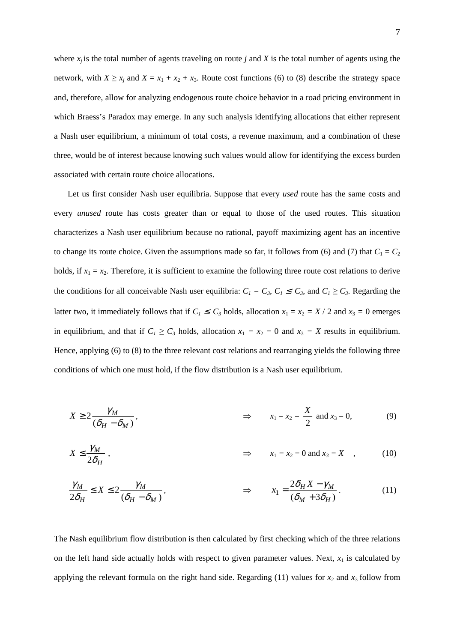where  $x_j$  is the total number of agents traveling on route *j* and *X* is the total number of agents using the network, with  $X \ge x_j$  and  $X = x_1 + x_2 + x_3$ . Route cost functions (6) to (8) describe the strategy space and, therefore, allow for analyzing endogenous route choice behavior in a road pricing environment in which Braess's Paradox may emerge. In any such analysis identifying allocations that either represent a Nash user equilibrium, a minimum of total costs, a revenue maximum, and a combination of these three, would be of interest because knowing such values would allow for identifying the excess burden associated with certain route choice allocations.

Let us first consider Nash user equilibria. Suppose that every *used* route has the same costs and every *unused* route has costs greater than or equal to those of the used routes. This situation characterizes a Nash user equilibrium because no rational, payoff maximizing agent has an incentive to change its route choice. Given the assumptions made so far, it follows from (6) and (7) that  $C_1 = C_2$ holds, if  $x_1 = x_2$ . Therefore, it is sufficient to examine the following three route cost relations to derive the conditions for all conceivable Nash user equilibria:  $C_1 = C_3$ ,  $C_1 \le C_3$ , and  $C_1 \ge C_3$ . Regarding the latter two, it immediately follows that if  $C_1 \le C_3$  holds, allocation  $x_1 = x_2 = X / 2$  and  $x_3 = 0$  emerges in equilibrium, and that if  $C_1 \ge C_3$  holds, allocation  $x_1 = x_2 = 0$  and  $x_3 = X$  results in equilibrium. Hence, applying (6) to (8) to the three relevant cost relations and rearranging yields the following three conditions of which one must hold, if the flow distribution is a Nash user equilibrium.

$$
X \ge 2 \frac{\gamma_M}{(\delta_H - \delta_M)}, \qquad \Rightarrow \qquad x_1 = x_2 = \frac{X}{2} \text{ and } x_3 = 0,
$$
 (9)

$$
X \le \frac{\gamma_M}{2\delta_H} \,, \qquad \qquad \Rightarrow \qquad x_1 = x_2 = 0 \text{ and } x_3 = X \quad , \qquad (10)
$$

$$
\frac{\gamma_M}{2\delta_H} \le X \le 2 \frac{\gamma_M}{(\delta_H - \delta_M)}, \qquad \Rightarrow \qquad x_1 = \frac{2\delta_H X - \gamma_M}{(\delta_M + 3\delta_H)}.
$$
\n(11)

The Nash equilibrium flow distribution is then calculated by first checking which of the three relations on the left hand side actually holds with respect to given parameter values. Next,  $x_1$  is calculated by applying the relevant formula on the right hand side. Regarding  $(11)$  values for  $x_2$  and  $x_3$  follow from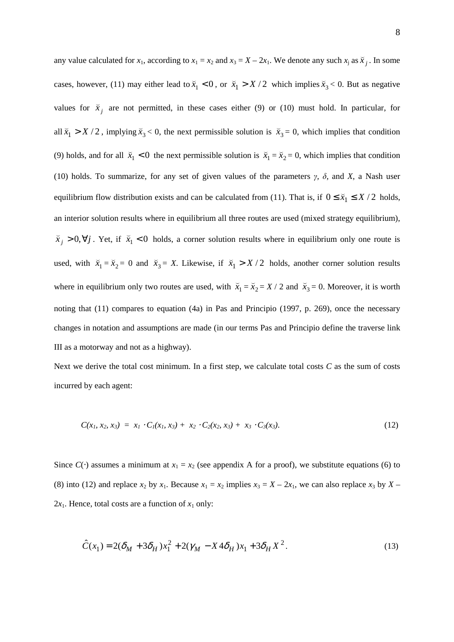any value calculated for  $x_1$ , according to  $x_1 = x_2$  and  $x_3 = X - 2x_1$ . We denote any such  $x_j$  as  $\tilde{x}_j$ ( . In some cases, however, (11) may either lead to  $\bar{x}_1 < 0$ ( , or  $\bar{x}_1 > X/2$ ( which implies  $\bar{x}_3$ ( < 0. But as negative values for  $\bar{x}_j$ ( are not permitted, in these cases either (9) or (10) must hold. In particular, for all  $\bar{x}_1 > X/2$ ( , implying  $\bar{x}_3$ (  $0$ , the next permissible solution is  $\bar{x}_3$ (  $= 0$ , which implies that condition (9) holds, and for all  $\bar{x}_1 < 0$ ( the next permissible solution is  $\bar{x}_1$ (  $=\bar{x}_2$ ( = 0, which implies that condition (10) holds. To summarize, for any set of given values of the parameters γ*,* δ*,* and *X*, a Nash user equilibrium flow distribution exists and can be calculated from (11). That is, if  $0 \le \bar{x}_1 \le X/2$ ( holds, an interior solution results where in equilibrium all three routes are used (mixed strategy equilibrium),  $\bar{x}_j > 0, \forall j$ ( . Yet, if  $\bar{x}_1 < 0$ ( holds, a corner solution results where in equilibrium only one route is used, with  $\bar{x}_1$ (  $=\bar{x}_2$ (  $= 0$  and  $\bar{x}_3$  $\overline{a}$  $= X$ . Likewise, if  $\bar{x}_1 > X/2$ ( holds, another corner solution results where in equilibrium only two routes are used, with  $\bar{x}_1$ (  $=\bar{x}_2$ (  $= X / 2$  and  $\bar{x}_3$ (  $= 0$ . Moreover, it is worth noting that (11) compares to equation (4a) in Pas and Principio (1997, p. 269), once the necessary changes in notation and assumptions are made (in our terms Pas and Principio define the traverse link III as a motorway and not as a highway).

Next we derive the total cost minimum. In a first step, we calculate total costs *C* as the sum of costs incurred by each agent:

$$
C(x_1, x_2, x_3) = x_1 \cdot C_1(x_1, x_3) + x_2 \cdot C_2(x_2, x_3) + x_3 \cdot C_3(x_3). \tag{12}
$$

Since  $C(\cdot)$  assumes a minimum at  $x_1 = x_2$  (see appendix A for a proof), we substitute equations (6) to (8) into (12) and replace  $x_2$  by  $x_1$ . Because  $x_1 = x_2$  implies  $x_3 = X - 2x_1$ , we can also replace  $x_3$  by  $X 2x_1$ . Hence, total costs are a function of  $x_1$  only:

$$
\hat{C}(x_1) = 2(\delta_M + 3\delta_H)x_1^2 + 2(\gamma_M - X4\delta_H)x_1 + 3\delta_H X^2.
$$
\n(13)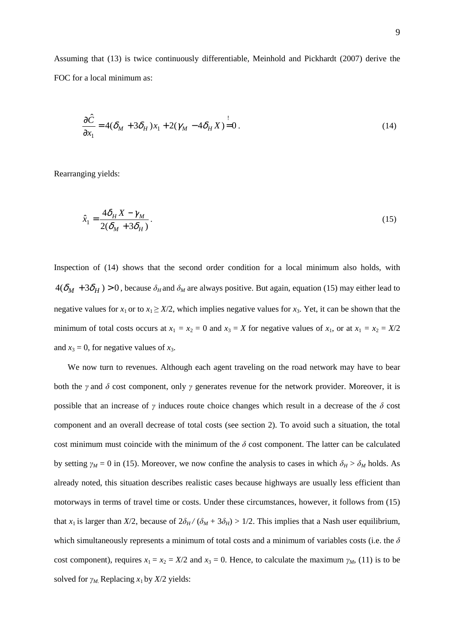Assuming that (13) is twice continuously differentiable, Meinhold and Pickhardt (2007) derive the FOC for a local minimum as:

$$
\frac{\partial \hat{C}}{\partial x_1} = 4(\delta_M + 3\delta_H)x_1 + 2(\gamma_M - 4\delta_H X) = 0.
$$
\n(14)

Rearranging yields:

$$
\hat{x}_1 = \frac{4\delta_H X - \gamma_M}{2(\delta_M + 3\delta_H)}.
$$
\n(15)

Inspection of (14) shows that the second order condition for a local minimum also holds, with  $4(\delta_M + 3\delta_H) > 0$ , because  $\delta_H$  and  $\delta_M$  are always positive. But again, equation (15) may either lead to negative values for  $x_1$  or to  $x_1 \geq X/2$ , which implies negative values for  $x_3$ . Yet, it can be shown that the minimum of total costs occurs at  $x_1 = x_2 = 0$  and  $x_3 = X$  for negative values of  $x_1$ , or at  $x_1 = x_2 = X/2$ and  $x_3 = 0$ , for negative values of  $x_3$ .

We now turn to revenues. Although each agent traveling on the road network may have to bear both the  $\gamma$  and  $\delta$  cost component, only  $\gamma$  generates revenue for the network provider. Moreover, it is possible that an increase of  $\gamma$  induces route choice changes which result in a decrease of the  $\delta$  cost component and an overall decrease of total costs (see section 2). To avoid such a situation, the total cost minimum must coincide with the minimum of the  $\delta$  cost component. The latter can be calculated by setting  $\gamma_M = 0$  in (15). Moreover, we now confine the analysis to cases in which  $\delta_H > \delta_M$  holds. As already noted, this situation describes realistic cases because highways are usually less efficient than motorways in terms of travel time or costs. Under these circumstances, however, it follows from (15) that *x*<sub>1</sub> is larger than *X*/2, because of  $2\delta_H/(\delta_M + 3\delta_H) > 1/2$ . This implies that a Nash user equilibrium, which simultaneously represents a minimum of total costs and a minimum of variables costs (i.e. the  $\delta$ cost component), requires  $x_1 = x_2 = X/2$  and  $x_3 = 0$ . Hence, to calculate the maximum  $\gamma_M$ , (11) is to be solved for  $\gamma_M$ . Replacing  $x_1$  by  $X/2$  yields: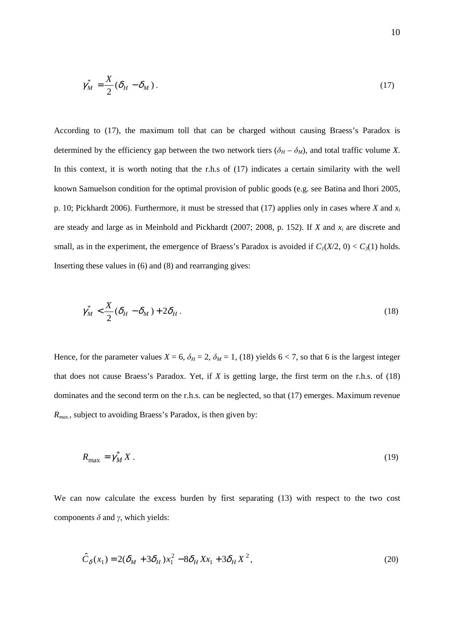$$
\gamma_M^* = \frac{X}{2} (\delta_H - \delta_M). \tag{17}
$$

According to (17), the maximum toll that can be charged without causing Braess's Paradox is determined by the efficiency gap between the two network tiers  $(\delta_H - \delta_M)$ , and total traffic volume *X*. In this context, it is worth noting that the r.h.s of (17) indicates a certain similarity with the well known Samuelson condition for the optimal provision of public goods (e.g. see Batina and Ihori 2005, p. 10; Pickhardt 2006). Furthermore, it must be stressed that (17) applies only in cases where *X* and *x<sup>i</sup>* are steady and large as in Meinhold and Pickhardt (2007; 2008, p. 152). If *X* and *x<sup>i</sup>* are discrete and small, as in the experiment, the emergence of Braess's Paradox is avoided if  $C_I(X/2, 0) < C_3(1)$  holds. Inserting these values in (6) and (8) and rearranging gives:

$$
\gamma_M^* < \frac{X}{2} (\delta_H - \delta_M) + 2\delta_H \,. \tag{18}
$$

Hence, for the parameter values  $X = 6$ ,  $\delta_H = 2$ ,  $\delta_M = 1$ , (18) yields  $6 < 7$ , so that 6 is the largest integer that does not cause Braess's Paradox. Yet, if *X* is getting large, the first term on the r.h.s. of (18) dominates and the second term on the r.h.s. can be neglected, so that (17) emerges. Maximum revenue *Rmax.*, subject to avoiding Braess's Paradox, is then given by:

$$
R_{\text{max}} = \gamma_M^* X \,. \tag{19}
$$

We can now calculate the excess burden by first separating (13) with respect to the two cost components  $\delta$  and  $\gamma$ , which yields:

$$
\hat{C}_{\delta}(x_1) = 2(\delta_M + 3\delta_H)x_1^2 - 8\delta_H X x_1 + 3\delta_H X^2,
$$
\n(20)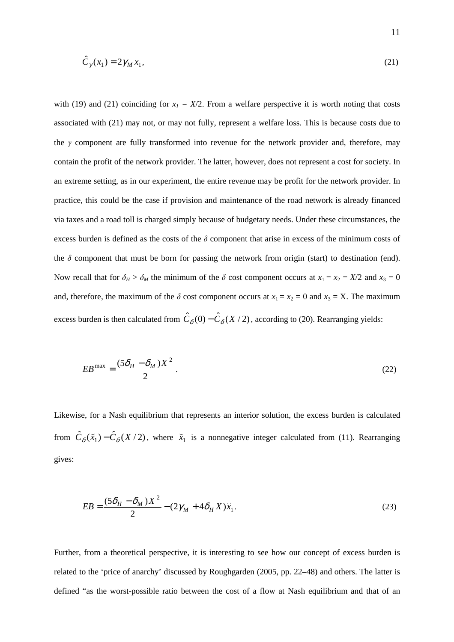$$
\hat{C}_{\gamma}(x_1) = 2\gamma_M x_1,\tag{21}
$$

with (19) and (21) coinciding for  $x_1 = X/2$ . From a welfare perspective it is worth noting that costs associated with (21) may not, or may not fully, represent a welfare loss. This is because costs due to the  $\gamma$  component are fully transformed into revenue for the network provider and, therefore, may contain the profit of the network provider. The latter, however, does not represent a cost for society. In an extreme setting, as in our experiment, the entire revenue may be profit for the network provider. In practice, this could be the case if provision and maintenance of the road network is already financed via taxes and a road toll is charged simply because of budgetary needs. Under these circumstances, the excess burden is defined as the costs of the  $\delta$  component that arise in excess of the minimum costs of the  $\delta$  component that must be born for passing the network from origin (start) to destination (end). Now recall that for  $\delta_H > \delta_M$  the minimum of the  $\delta$  cost component occurs at  $x_1 = x_2 = X/2$  and  $x_3 = 0$ and, therefore, the maximum of the  $\delta$  cost component occurs at  $x_1 = x_2 = 0$  and  $x_3 = X$ . The maximum excess burden is then calculated from  $\hat{C}_{\delta}(0) - \hat{C}_{\delta}(X/2)$ , according to (20). Rearranging yields:

$$
EB^{\max} = \frac{(5\delta_H - \delta_M)X^2}{2}.
$$
\n(22)

Likewise, for a Nash equilibrium that represents an interior solution, the excess burden is calculated from  $\hat{C}_{\delta}(\bar{x}_1) - \hat{C}_{\delta}(X/2)$ ( , where  $\bar{x}_1$ ( is a nonnegative integer calculated from (11). Rearranging gives:

$$
EB = \frac{(5\delta_H - \delta_M)X^2}{2} - (2\gamma_M + 4\delta_H X)\bar{x}_1.
$$
\n(23)

Further, from a theoretical perspective, it is interesting to see how our concept of excess burden is related to the 'price of anarchy' discussed by Roughgarden (2005, pp. 22–48) and others. The latter is defined "as the worst-possible ratio between the cost of a flow at Nash equilibrium and that of an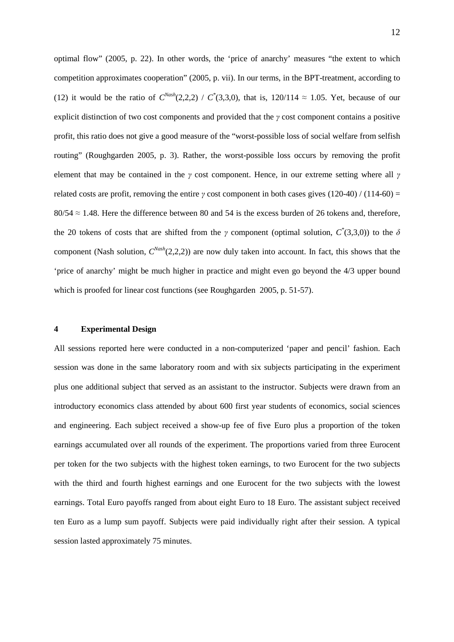optimal flow" (2005, p. 22). In other words, the 'price of anarchy' measures "the extent to which competition approximates cooperation" (2005, p. vii). In our terms, in the BPT-treatment, according to (12) it would be the ratio of  $C^{Nash}(2,2,2) / C^{*}(3,3,0)$ , that is, 120/114  $\approx$  1.05. Yet, because of our explicit distinction of two cost components and provided that the γ cost component contains a positive profit, this ratio does not give a good measure of the "worst-possible loss of social welfare from selfish routing" (Roughgarden 2005, p. 3). Rather, the worst-possible loss occurs by removing the profit element that may be contained in the  $\gamma$  cost component. Hence, in our extreme setting where all  $\gamma$ related costs are profit, removing the entire  $\gamma$  cost component in both cases gives (120-40) / (114-60) =  $80/54 \approx 1.48$ . Here the difference between 80 and 54 is the excess burden of 26 tokens and, therefore, the 20 tokens of costs that are shifted from the  $\gamma$  component (optimal solution,  $C^*(3,3,0)$ ) to the  $\delta$ component (Nash solution,  $C^{Nash}(2,2,2)$ ) are now duly taken into account. In fact, this shows that the 'price of anarchy' might be much higher in practice and might even go beyond the 4/3 upper bound which is proofed for linear cost functions (see Roughgarden 2005, p. 51-57).

#### **4 Experimental Design**

All sessions reported here were conducted in a non-computerized 'paper and pencil' fashion. Each session was done in the same laboratory room and with six subjects participating in the experiment plus one additional subject that served as an assistant to the instructor. Subjects were drawn from an introductory economics class attended by about 600 first year students of economics, social sciences and engineering. Each subject received a show-up fee of five Euro plus a proportion of the token earnings accumulated over all rounds of the experiment. The proportions varied from three Eurocent per token for the two subjects with the highest token earnings, to two Eurocent for the two subjects with the third and fourth highest earnings and one Eurocent for the two subjects with the lowest earnings. Total Euro payoffs ranged from about eight Euro to 18 Euro. The assistant subject received ten Euro as a lump sum payoff. Subjects were paid individually right after their session. A typical session lasted approximately 75 minutes.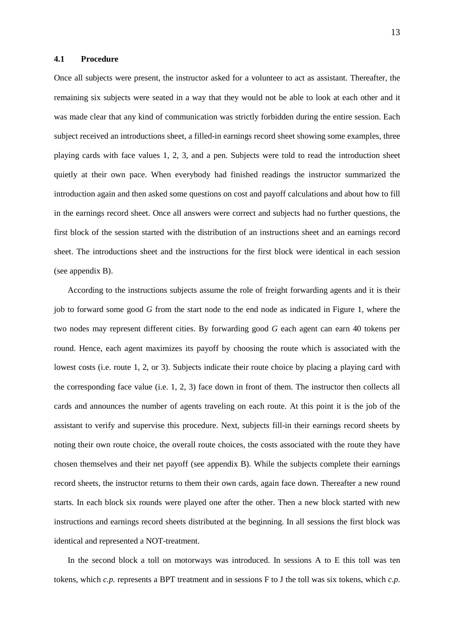#### **4.1 Procedure**

Once all subjects were present, the instructor asked for a volunteer to act as assistant. Thereafter, the remaining six subjects were seated in a way that they would not be able to look at each other and it was made clear that any kind of communication was strictly forbidden during the entire session. Each subject received an introductions sheet, a filled-in earnings record sheet showing some examples, three playing cards with face values 1, 2, 3, and a pen. Subjects were told to read the introduction sheet quietly at their own pace. When everybody had finished readings the instructor summarized the introduction again and then asked some questions on cost and payoff calculations and about how to fill in the earnings record sheet. Once all answers were correct and subjects had no further questions, the first block of the session started with the distribution of an instructions sheet and an earnings record sheet. The introductions sheet and the instructions for the first block were identical in each session (see appendix B).

According to the instructions subjects assume the role of freight forwarding agents and it is their job to forward some good *G* from the start node to the end node as indicated in Figure 1, where the two nodes may represent different cities. By forwarding good *G* each agent can earn 40 tokens per round. Hence, each agent maximizes its payoff by choosing the route which is associated with the lowest costs (i.e. route 1, 2, or 3). Subjects indicate their route choice by placing a playing card with the corresponding face value (i.e. 1, 2, 3) face down in front of them. The instructor then collects all cards and announces the number of agents traveling on each route. At this point it is the job of the assistant to verify and supervise this procedure. Next, subjects fill-in their earnings record sheets by noting their own route choice, the overall route choices, the costs associated with the route they have chosen themselves and their net payoff (see appendix B). While the subjects complete their earnings record sheets, the instructor returns to them their own cards, again face down. Thereafter a new round starts. In each block six rounds were played one after the other. Then a new block started with new instructions and earnings record sheets distributed at the beginning. In all sessions the first block was identical and represented a NOT-treatment.

In the second block a toll on motorways was introduced. In sessions A to E this toll was ten tokens, which *c.p.* represents a BPT treatment and in sessions F to J the toll was six tokens, which *c.p.*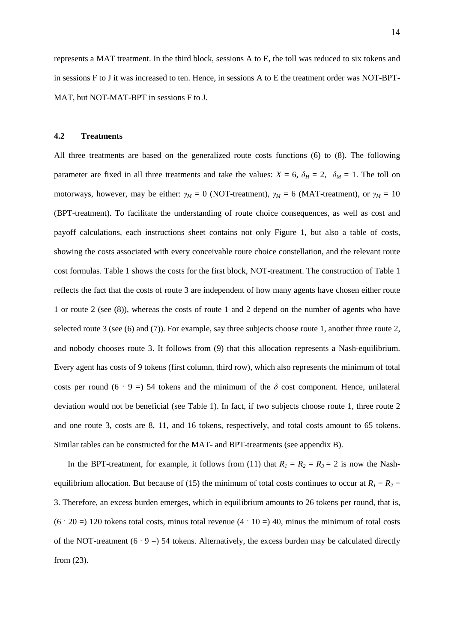represents a MAT treatment. In the third block, sessions A to E, the toll was reduced to six tokens and in sessions F to J it was increased to ten. Hence, in sessions A to E the treatment order was NOT-BPT-MAT, but NOT-MAT-BPT in sessions F to J.

#### **4.2 Treatments**

All three treatments are based on the generalized route costs functions (6) to (8). The following parameter are fixed in all three treatments and take the values:  $X = 6$ ,  $\delta_H = 2$ ,  $\delta_M = 1$ . The toll on motorways, however, may be either:  $\gamma_M = 0$  (NOT-treatment),  $\gamma_M = 6$  (MAT-treatment), or  $\gamma_M = 10$ (BPT-treatment). To facilitate the understanding of route choice consequences, as well as cost and payoff calculations, each instructions sheet contains not only Figure 1, but also a table of costs, showing the costs associated with every conceivable route choice constellation, and the relevant route cost formulas. Table 1 shows the costs for the first block, NOT-treatment. The construction of Table 1 reflects the fact that the costs of route 3 are independent of how many agents have chosen either route 1 or route 2 (see (8)), whereas the costs of route 1 and 2 depend on the number of agents who have selected route 3 (see (6) and (7)). For example, say three subjects choose route 1, another three route 2, and nobody chooses route 3. It follows from (9) that this allocation represents a Nash-equilibrium. Every agent has costs of 9 tokens (first column, third row), which also represents the minimum of total costs per round (6 · 9 =) 54 tokens and the minimum of the  $\delta$  cost component. Hence, unilateral deviation would not be beneficial (see Table 1). In fact, if two subjects choose route 1, three route 2 and one route 3, costs are 8, 11, and 16 tokens, respectively, and total costs amount to 65 tokens. Similar tables can be constructed for the MAT- and BPT-treatments (see appendix B).

In the BPT-treatment, for example, it follows from (11) that  $R_1 = R_2 = R_3 = 2$  is now the Nashequilibrium allocation. But because of (15) the minimum of total costs continues to occur at  $R_1 = R_2 =$ 3. Therefore, an excess burden emerges, which in equilibrium amounts to 26 tokens per round, that is,  $(6 \cdot 20 =)$  120 tokens total costs, minus total revenue  $(4 \cdot 10 =)$  40, minus the minimum of total costs of the NOT-treatment  $(6 \cdot 9 = 54$  tokens. Alternatively, the excess burden may be calculated directly from (23).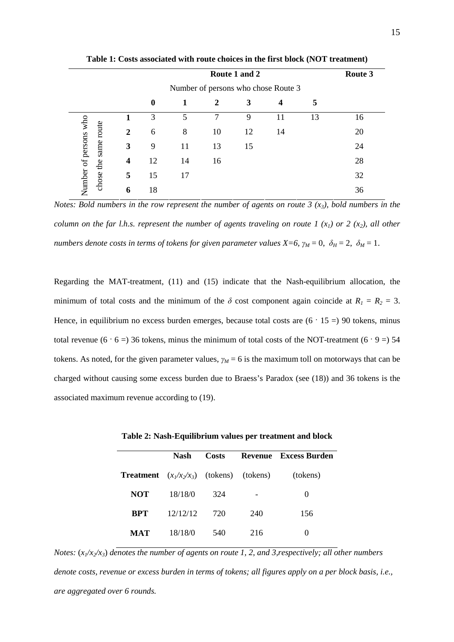|                                       | Route 3                             |    |    |    |    |    |    |    |  |  |  |
|---------------------------------------|-------------------------------------|----|----|----|----|----|----|----|--|--|--|
|                                       | Number of persons who chose Route 3 |    |    |    |    |    |    |    |  |  |  |
|                                       |                                     | 0  | 1  | 2  | 3  | 4  | 5  |    |  |  |  |
|                                       |                                     | 3  | 5  | 7  | 9  | 11 | 13 | 16 |  |  |  |
| route                                 | 2                                   | 6  | 8  | 10 | 12 | 14 |    | 20 |  |  |  |
| same                                  | 3                                   | 9  | 11 | 13 | 15 |    |    | 24 |  |  |  |
| Number of persons who<br>the<br>chose | 4                                   | 12 | 14 | 16 |    |    |    | 28 |  |  |  |
|                                       | 5                                   | 15 | 17 |    |    |    |    | 32 |  |  |  |
|                                       | 6                                   | 18 |    |    |    |    |    | 36 |  |  |  |

**Table 1: Costs associated with route choices in the first block (NOT treatment)** 

*Notes: Bold numbers in the row represent the number of agents on route 3 (x3), bold numbers in the column on the far l.h.s. represent the number of agents traveling on route 1 (* $x_1$ *) or 2 (* $x_2$ *), all other numbers denote costs in terms of tokens for given parameter values*  $X=6$ *,*  $\gamma_M=0$ *,*  $\delta_H=2$ *,*  $\delta_M=1$ *.* 

Regarding the MAT-treatment, (11) and (15) indicate that the Nash-equilibrium allocation, the minimum of total costs and the minimum of the  $\delta$  cost component again coincide at  $R_1 = R_2 = 3$ . Hence, in equilibrium no excess burden emerges, because total costs are  $(6 \cdot 15 = 90)$  tokens, minus total revenue (6 · 6 =) 36 tokens, minus the minimum of total costs of the NOT-treatment (6 · 9 =) 54 tokens. As noted, for the given parameter values,  $\gamma_M = 6$  is the maximum toll on motorways that can be charged without causing some excess burden due to Braess's Paradox (see (18)) and 36 tokens is the associated maximum revenue according to (19).

|                                                    | <b>Nash</b> | Costs |     | Revenue Excess Burden |
|----------------------------------------------------|-------------|-------|-----|-----------------------|
| <b>Treatment</b> $(x_1/x_2/x_3)$ (tokens) (tokens) |             |       |     | (tokens)              |
| <b>NOT</b>                                         | 18/18/0     | 324   |     | $\theta$              |
| <b>BPT</b>                                         | 12/12/12    | 720   | 240 | 156                   |
| <b>MAT</b>                                         | 18/18/0     | 540   | 216 |                       |

**Table 2: Nash-Equilibrium values per treatment and block** 

*Notes:*  $(x_1/x_2/x_3)$  *denotes the number of agents on route 1, 2, and 3, respectively; all other numbers denote costs, revenue or excess burden in terms of tokens; all figures apply on a per block basis, i.e., are aggregated over 6 rounds.*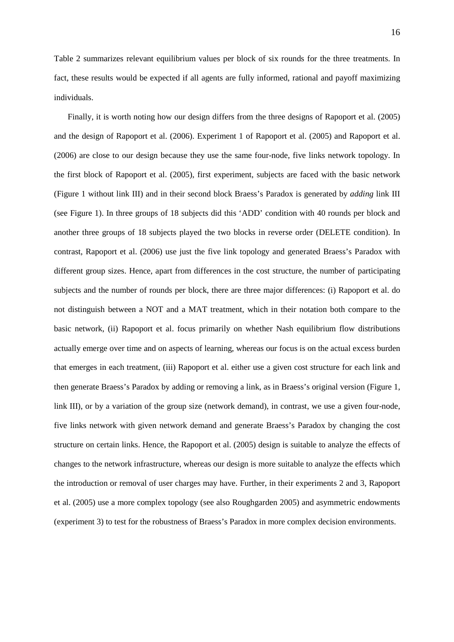Table 2 summarizes relevant equilibrium values per block of six rounds for the three treatments. In fact, these results would be expected if all agents are fully informed, rational and payoff maximizing individuals.

Finally, it is worth noting how our design differs from the three designs of Rapoport et al. (2005) and the design of Rapoport et al. (2006). Experiment 1 of Rapoport et al. (2005) and Rapoport et al. (2006) are close to our design because they use the same four-node, five links network topology. In the first block of Rapoport et al. (2005), first experiment, subjects are faced with the basic network (Figure 1 without link III) and in their second block Braess's Paradox is generated by *adding* link III (see Figure 1). In three groups of 18 subjects did this 'ADD' condition with 40 rounds per block and another three groups of 18 subjects played the two blocks in reverse order (DELETE condition). In contrast, Rapoport et al. (2006) use just the five link topology and generated Braess's Paradox with different group sizes. Hence, apart from differences in the cost structure, the number of participating subjects and the number of rounds per block, there are three major differences: (i) Rapoport et al. do not distinguish between a NOT and a MAT treatment, which in their notation both compare to the basic network, (ii) Rapoport et al. focus primarily on whether Nash equilibrium flow distributions actually emerge over time and on aspects of learning, whereas our focus is on the actual excess burden that emerges in each treatment, (iii) Rapoport et al. either use a given cost structure for each link and then generate Braess's Paradox by adding or removing a link, as in Braess's original version (Figure 1, link III), or by a variation of the group size (network demand), in contrast, we use a given four-node, five links network with given network demand and generate Braess's Paradox by changing the cost structure on certain links. Hence, the Rapoport et al. (2005) design is suitable to analyze the effects of changes to the network infrastructure, whereas our design is more suitable to analyze the effects which the introduction or removal of user charges may have. Further, in their experiments 2 and 3, Rapoport et al. (2005) use a more complex topology (see also Roughgarden 2005) and asymmetric endowments (experiment 3) to test for the robustness of Braess's Paradox in more complex decision environments.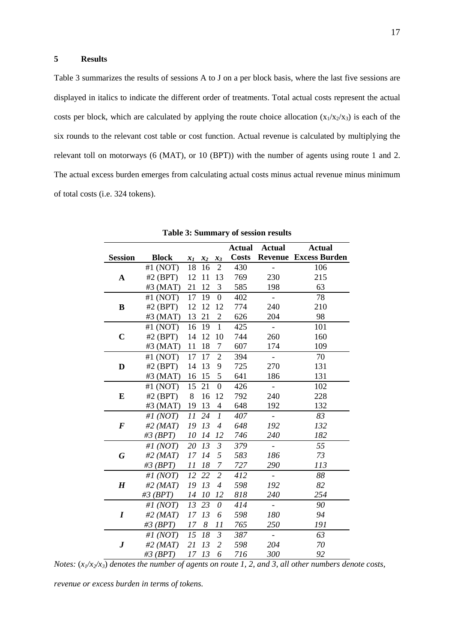# **5 Results**

Table 3 summarizes the results of sessions A to J on a per block basis, where the last five sessions are displayed in italics to indicate the different order of treatments. Total actual costs represent the actual costs per block, which are calculated by applying the route choice allocation  $(x_1/x_2/x_3)$  is each of the six rounds to the relevant cost table or cost function. Actual revenue is calculated by multiplying the relevant toll on motorways (6 (MAT), or 10 (BPT)) with the number of agents using route 1 and 2. The actual excess burden emerges from calculating actual costs minus actual revenue minus minimum of total costs (i.e. 324 tokens).

|                  |              |       |             |                             | <b>Actual</b> | <b>Actual</b>            | <b>Actual</b>                |
|------------------|--------------|-------|-------------|-----------------------------|---------------|--------------------------|------------------------------|
| <b>Session</b>   | <b>Block</b> | $x_1$ | $x_2$ $x_3$ |                             | <b>Costs</b>  |                          | <b>Revenue Excess Burden</b> |
|                  | #1 $(NOT)$   | 18    | 16          | $\overline{2}$              | 430           |                          | 106                          |
| $\mathbf A$      | #2 $(BPT)$   | 12    | 11          | 13                          | 769           | 230                      | 215                          |
|                  | $#3$ (MAT)   | 21    | 12          | 3                           | 585           | 198                      | 63                           |
|                  | #1 $(NOT)$   | 17    | 19          | $\boldsymbol{0}$            | 402           | $\blacksquare$           | 78                           |
| B                | $#2$ (BPT)   | 12    | 12          | 12                          | 774           | 240                      | 210                          |
|                  | #3 $(MAT)$   | 13    | 21          | $\overline{2}$              | 626           | 204                      | 98                           |
|                  | #1 $(NOT)$   | 16    | 19          | $\mathbf{1}$                | 425           | $\blacksquare$           | 101                          |
| $\mathbf C$      | #2 $(BPT)$   | 14    | 12          | 10                          | 744           | 260                      | 160                          |
|                  | #3 $(MAT)$   | 11    | 18          | 7                           | 607           | 174                      | 109                          |
|                  | #1 $(NOT)$   | 17    | 17          | $\overline{2}$              | 394           | $\overline{\phantom{a}}$ | 70                           |
| D                | $#2$ (BPT)   | 14    | 13          | 9                           | 725           | 270                      | 131                          |
|                  | #3 $(MAT)$   | 16    | 15          | 5                           | 641           | 186                      | 131                          |
|                  | #1 $(NOT)$   | 15    | 21          | $\boldsymbol{0}$            | 426           | $\overline{\phantom{0}}$ | 102                          |
| ${\bf E}$        | #2 $(BPT)$   | 8     | 16          | 12                          | 792           | 240                      | 228                          |
|                  | #3 $(MAT)$   | 19    | 13          | $\overline{4}$              | 648           | 192                      | 132                          |
|                  | #1 $(NOT)$   | 11    | 24          | $\mathcal{I}_{\mathcal{I}}$ | 407           | $\mathbb{L}$             | 83                           |
| $\boldsymbol{F}$ | $#2$ (MAT)   | 19    | 13          | $\overline{4}$              | 648           | 192                      | 132                          |
|                  | $#3$ (BPT)   | 10    | 14          | 12                          | 746           | 240                      | 182                          |
|                  | #1 $(NOT)$   | 20    | 13          | $\mathfrak{Z}$              | 379           | $\overline{\phantom{a}}$ | 55                           |
| G                | $#2$ (MAT)   | 17    | 14          | 5                           | 583           | 186                      | 73                           |
|                  | $#3$ (BPT)   | 11    | 18          | $\overline{7}$              | 727           | 290                      | 113                          |
|                  | #1 $(NOT)$   | 12    | 22          | $\overline{2}$              | 412           | $\sim$                   | 88                           |
| $\boldsymbol{H}$ | #2 $(MAT)$   | 19    | 13          | $\overline{4}$              | 598           | 192                      | 82                           |
|                  | $#3$ (BPT)   | 14    | 10          | 12                          | 818           | 240                      | 254                          |
|                  | #1 $(NOT)$   | 13    | 23          | $\theta$                    | 414           | $\blacksquare$           | 90                           |
| $\boldsymbol{I}$ | $#2$ (MAT)   | 17    | 13          | 6                           | 598           | 180                      | 94                           |
|                  | #3 $(BPT)$   | 17    | 8           | 11                          | 765           | 250                      | 191                          |
|                  | #1 $(NOT)$   | 15    | 18          | $\mathfrak{Z}$              | 387           | $\overline{\phantom{a}}$ | 63                           |
| $\bm{J}$         | $#2$ (MAT)   | 21    | 13          | $\overline{2}$              | 598           | 204                      | 70                           |
|                  | $#3$ (BPT)   | 17    | 13          | 6                           | 716           | 300                      | 92                           |

**Table 3: Summary of session results** 

*Notes:*  $(x_1/x_2/x_3)$  *denotes the number of agents on route 1, 2, and 3, all other numbers denote costs,* 

*revenue or excess burden in terms of tokens.*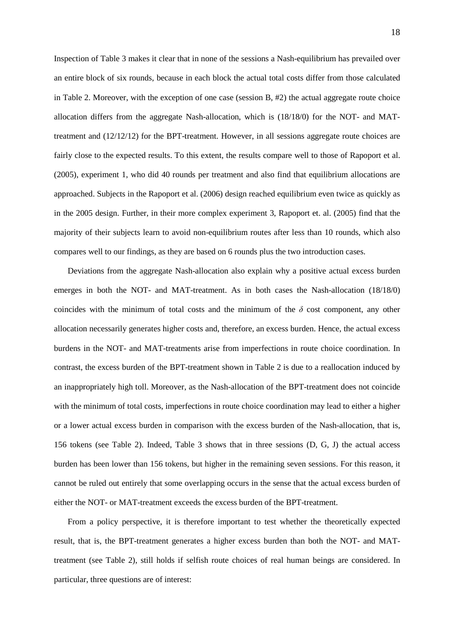Inspection of Table 3 makes it clear that in none of the sessions a Nash-equilibrium has prevailed over an entire block of six rounds, because in each block the actual total costs differ from those calculated in Table 2. Moreover, with the exception of one case (session  $B, #2$ ) the actual aggregate route choice allocation differs from the aggregate Nash-allocation, which is (18/18/0) for the NOT- and MATtreatment and (12/12/12) for the BPT-treatment. However, in all sessions aggregate route choices are fairly close to the expected results. To this extent, the results compare well to those of Rapoport et al. (2005), experiment 1, who did 40 rounds per treatment and also find that equilibrium allocations are approached. Subjects in the Rapoport et al. (2006) design reached equilibrium even twice as quickly as in the 2005 design. Further, in their more complex experiment 3, Rapoport et. al. (2005) find that the majority of their subjects learn to avoid non-equilibrium routes after less than 10 rounds, which also compares well to our findings, as they are based on 6 rounds plus the two introduction cases.

Deviations from the aggregate Nash-allocation also explain why a positive actual excess burden emerges in both the NOT- and MAT-treatment. As in both cases the Nash-allocation (18/18/0) coincides with the minimum of total costs and the minimum of the  $\delta$  cost component, any other allocation necessarily generates higher costs and, therefore, an excess burden. Hence, the actual excess burdens in the NOT- and MAT-treatments arise from imperfections in route choice coordination. In contrast, the excess burden of the BPT-treatment shown in Table 2 is due to a reallocation induced by an inappropriately high toll. Moreover, as the Nash-allocation of the BPT-treatment does not coincide with the minimum of total costs, imperfections in route choice coordination may lead to either a higher or a lower actual excess burden in comparison with the excess burden of the Nash-allocation, that is, 156 tokens (see Table 2). Indeed, Table 3 shows that in three sessions (D, G, J) the actual access burden has been lower than 156 tokens, but higher in the remaining seven sessions. For this reason, it cannot be ruled out entirely that some overlapping occurs in the sense that the actual excess burden of either the NOT- or MAT-treatment exceeds the excess burden of the BPT-treatment.

From a policy perspective, it is therefore important to test whether the theoretically expected result, that is, the BPT-treatment generates a higher excess burden than both the NOT- and MATtreatment (see Table 2), still holds if selfish route choices of real human beings are considered. In particular, three questions are of interest: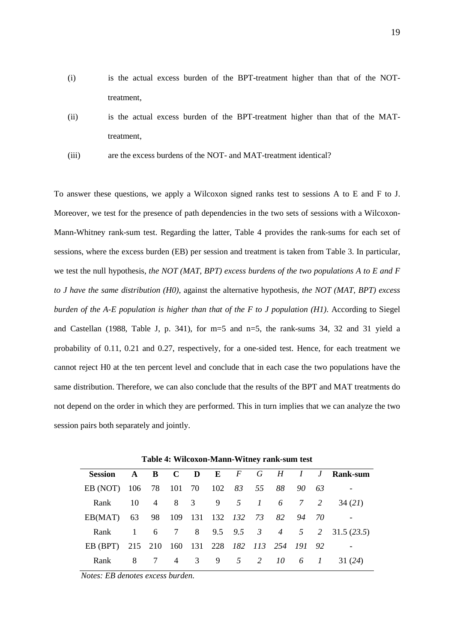- (i) is the actual excess burden of the BPT-treatment higher than that of the NOTtreatment,
- (ii) is the actual excess burden of the BPT-treatment higher than that of the MATtreatment,
- (iii) are the excess burdens of the NOT- and MAT-treatment identical?

To answer these questions, we apply a Wilcoxon signed ranks test to sessions A to E and F to J. Moreover, we test for the presence of path dependencies in the two sets of sessions with a Wilcoxon-Mann-Whitney rank-sum test. Regarding the latter, Table 4 provides the rank-sums for each set of sessions, where the excess burden (EB) per session and treatment is taken from Table 3. In particular, we test the null hypothesis, *the NOT (MAT, BPT) excess burdens of the two populations A to E and F to J have the same distribution (H0)*, against the alternative hypothesis, *the NOT (MAT, BPT) excess burden of the A-E population is higher than that of the F to J population (H1)*. According to Siegel and Castellan (1988, Table J, p. 341), for m=5 and n=5, the rank-sums 34, 32 and 31 yield a probability of 0.11, 0.21 and 0.27, respectively, for a one-sided test. Hence, for each treatment we cannot reject H0 at the ten percent level and conclude that in each case the two populations have the same distribution. Therefore, we can also conclude that the results of the BPT and MAT treatments do not depend on the order in which they are performed. This in turn implies that we can analyze the two session pairs both separately and jointly.

|  |          |  |  |  | 34 (21)                                                                                                                                                                                                                                                                                |
|--|----------|--|--|--|----------------------------------------------------------------------------------------------------------------------------------------------------------------------------------------------------------------------------------------------------------------------------------------|
|  |          |  |  |  |                                                                                                                                                                                                                                                                                        |
|  |          |  |  |  |                                                                                                                                                                                                                                                                                        |
|  |          |  |  |  |                                                                                                                                                                                                                                                                                        |
|  |          |  |  |  |                                                                                                                                                                                                                                                                                        |
|  | Rank 8 7 |  |  |  | Session A B C D E F G H I J Rank-sum<br>EB (NOT) 106 78 101 70 102 83 55 88 90 63<br>Rank 10 4 8 3 9 5 1 6 7 2<br>EB(MAT) 63 98 109 131 132 132 73 82 94 70<br>Rank 1 6 7 8 9.5 9.5 3 4 5 2 31.5 (23.5)<br>EB (BPT) 215 210 160 131 228 182 113 254 191 92<br>4 3 9 5 2 10 6 1 31 (24) |

**Table 4: Wilcoxon-Mann-Witney rank-sum test** 

*Notes: EB denotes excess burden.*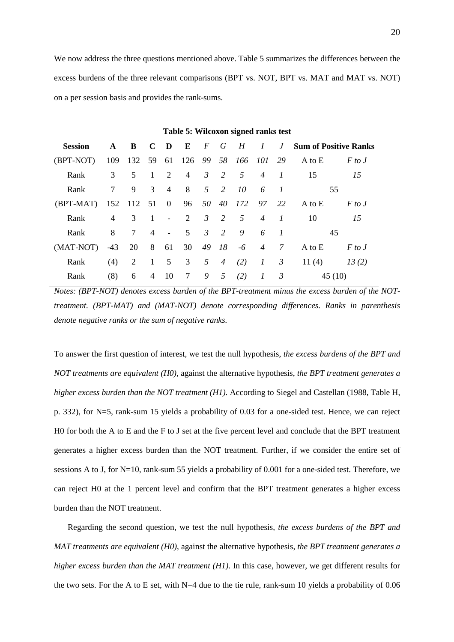We now address the three questions mentioned above. Table 5 summarizes the differences between the excess burdens of the three relevant comparisons (BPT vs. NOT, BPT vs. MAT and MAT vs. NOT) on a per session basis and provides the rank-sums.

| <b>Session</b> | $\mathbf{A}$   | B                              | $C$ D          |                          | $\overline{E}$  |                |                |                             |                |                 | F G H I J Sum of Positive Ranks |            |
|----------------|----------------|--------------------------------|----------------|--------------------------|-----------------|----------------|----------------|-----------------------------|----------------|-----------------|---------------------------------|------------|
| (BPT-NOT)      | 109            | 132 59 61 126 99 58 166 101 29 |                |                          |                 |                |                |                             |                |                 | A to E                          | $F$ to $J$ |
| Rank           | 3              | 5                              | <sup>1</sup>   | 2                        |                 |                |                | $4 \quad 3 \quad 2 \quad 5$ | $\overline{4}$ | $\overline{1}$  | 15                              | 15         |
| Rank           | $\tau$         | 9                              | $\overline{3}$ | $\overline{4}$           | 8 <sup>8</sup>  |                |                | 5 2 10                      | 6              | $\overline{1}$  | 55                              |            |
| (BPT-MAT)      | 152 112 51 0   |                                |                |                          |                 |                |                | 96 50 40 172 97 22          |                |                 | A to $E$                        | $F$ to $J$ |
| Rank           | $\overline{4}$ | 3 1                            |                | $\sim 100$               | $\overline{2}$  |                | $3\quad 2$     | 5 <sup>5</sup>              | $\overline{4}$ | $\overline{I}$  | 10                              | 15         |
| Rank           | 8              | $7\overline{)}$                | $\overline{4}$ | <b>Contract Contract</b> | 5               | $\mathfrak{Z}$ | $\overline{2}$ |                             | $9\qquad 6$    | $\overline{1}$  | 45                              |            |
| (MAT-NOT)      | -43            | 20 8 61                        |                |                          | 30              | 49             | 18             | $-6$ 4                      |                | $7\overline{ }$ | A to E                          | $F$ to $J$ |
| Rank           | (4)            | 2                              | $\overline{1}$ |                          | $5 \quad 3$     | 5 <sup>5</sup> | $\overline{4}$ | (2)                         | $\overline{I}$ | $\mathcal{Z}$   | 11 $(4)$                        | 13(2)      |
| Rank           | (8)            | 6                              | $\overline{4}$ | 10                       | $7\overline{ }$ | 9 5            |                | (2)                         | $\mathcal{I}$  | $\beta$         | 45 (10)                         |            |

**Table 5: Wilcoxon signed ranks test**

*Notes: (BPT-NOT) denotes excess burden of the BPT-treatment minus the excess burden of the NOTtreatment. (BPT-MAT) and (MAT-NOT) denote corresponding differences. Ranks in parenthesis denote negative ranks or the sum of negative ranks.* 

To answer the first question of interest, we test the null hypothesis, *the excess burdens of the BPT and NOT treatments are equivalent (H0)*, against the alternative hypothesis, *the BPT treatment generates a higher excess burden than the NOT treatment (H1)*. According to Siegel and Castellan (1988, Table H, p. 332), for N=5, rank-sum 15 yields a probability of 0.03 for a one-sided test. Hence, we can reject H0 for both the A to E and the F to J set at the five percent level and conclude that the BPT treatment generates a higher excess burden than the NOT treatment. Further, if we consider the entire set of sessions A to J, for N=10, rank-sum 55 yields a probability of 0.001 for a one-sided test. Therefore, we can reject H0 at the 1 percent level and confirm that the BPT treatment generates a higher excess burden than the NOT treatment.

Regarding the second question, we test the null hypothesis, *the excess burdens of the BPT and MAT treatments are equivalent (H0)*, against the alternative hypothesis, *the BPT treatment generates a higher excess burden than the MAT treatment (H1)*. In this case, however, we get different results for the two sets. For the A to E set, with  $N=4$  due to the tie rule, rank-sum 10 yields a probability of 0.06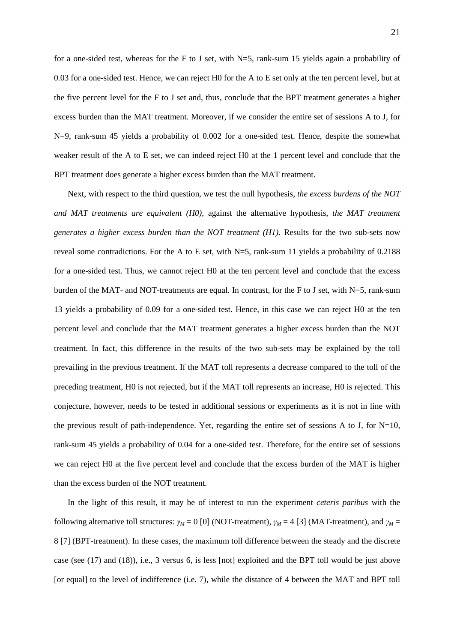for a one-sided test, whereas for the F to J set, with  $N=5$ , rank-sum 15 yields again a probability of 0.03 for a one-sided test. Hence, we can reject H0 for the A to E set only at the ten percent level, but at the five percent level for the F to J set and, thus, conclude that the BPT treatment generates a higher excess burden than the MAT treatment. Moreover, if we consider the entire set of sessions A to J, for N=9, rank-sum 45 yields a probability of 0.002 for a one-sided test. Hence, despite the somewhat weaker result of the A to E set, we can indeed reject H0 at the 1 percent level and conclude that the BPT treatment does generate a higher excess burden than the MAT treatment.

Next, with respect to the third question, we test the null hypothesis, *the excess burdens of the NOT and MAT treatments are equivalent (H0)*, against the alternative hypothesis, *the MAT treatment generates a higher excess burden than the NOT treatment (H1)*. Results for the two sub-sets now reveal some contradictions. For the A to E set, with  $N=5$ , rank-sum 11 yields a probability of 0.2188 for a one-sided test. Thus, we cannot reject H0 at the ten percent level and conclude that the excess burden of the MAT- and NOT-treatments are equal. In contrast, for the F to J set, with N=5, rank-sum 13 yields a probability of 0.09 for a one-sided test. Hence, in this case we can reject H0 at the ten percent level and conclude that the MAT treatment generates a higher excess burden than the NOT treatment. In fact, this difference in the results of the two sub-sets may be explained by the toll prevailing in the previous treatment. If the MAT toll represents a decrease compared to the toll of the preceding treatment, H0 is not rejected, but if the MAT toll represents an increase, H0 is rejected. This conjecture, however, needs to be tested in additional sessions or experiments as it is not in line with the previous result of path-independence. Yet, regarding the entire set of sessions A to J, for  $N=10$ , rank-sum 45 yields a probability of 0.04 for a one-sided test. Therefore, for the entire set of sessions we can reject H0 at the five percent level and conclude that the excess burden of the MAT is higher than the excess burden of the NOT treatment.

In the light of this result, it may be of interest to run the experiment *ceteris paribus* with the following alternative toll structures:  $\gamma_M = 0$  [0] (NOT-treatment),  $\gamma_M = 4$  [3] (MAT-treatment), and  $\gamma_M =$ 8 [7] (BPT-treatment). In these cases, the maximum toll difference between the steady and the discrete case (see (17) and (18)), i.e., 3 versus 6, is less [not] exploited and the BPT toll would be just above [or equal] to the level of indifference (i.e. 7), while the distance of 4 between the MAT and BPT toll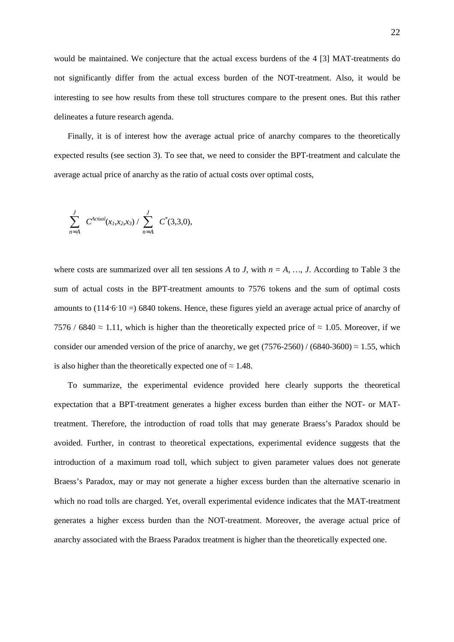would be maintained. We conjecture that the actual excess burdens of the 4 [3] MAT-treatments do not significantly differ from the actual excess burden of the NOT-treatment. Also, it would be interesting to see how results from these toll structures compare to the present ones. But this rather delineates a future research agenda.

Finally, it is of interest how the average actual price of anarchy compares to the theoretically expected results (see section 3). To see that, we need to consider the BPT-treatment and calculate the average actual price of anarchy as the ratio of actual costs over optimal costs,

$$
\sum_{n=A}^{J} C^{Actual}(x_1, x_2, x_3) / \sum_{n=A}^{J} C^{*}(3,3,0),
$$

where costs are summarized over all ten sessions A to *J*, with  $n = A$ , ..., *J*. According to Table 3 the sum of actual costs in the BPT-treatment amounts to 7576 tokens and the sum of optimal costs amounts to (114·6·10 =) 6840 tokens. Hence, these figures yield an average actual price of anarchy of 7576 / 6840  $\approx$  1.11, which is higher than the theoretically expected price of  $\approx$  1.05. Moreover, if we consider our amended version of the price of anarchy, we get (7576-2560) / (6840-3600)  $\approx 1.55$ , which is also higher than the theoretically expected one of  $\approx 1.48$ .

To summarize, the experimental evidence provided here clearly supports the theoretical expectation that a BPT-treatment generates a higher excess burden than either the NOT- or MATtreatment. Therefore, the introduction of road tolls that may generate Braess's Paradox should be avoided. Further, in contrast to theoretical expectations, experimental evidence suggests that the introduction of a maximum road toll, which subject to given parameter values does not generate Braess's Paradox, may or may not generate a higher excess burden than the alternative scenario in which no road tolls are charged. Yet, overall experimental evidence indicates that the MAT-treatment generates a higher excess burden than the NOT-treatment. Moreover, the average actual price of anarchy associated with the Braess Paradox treatment is higher than the theoretically expected one.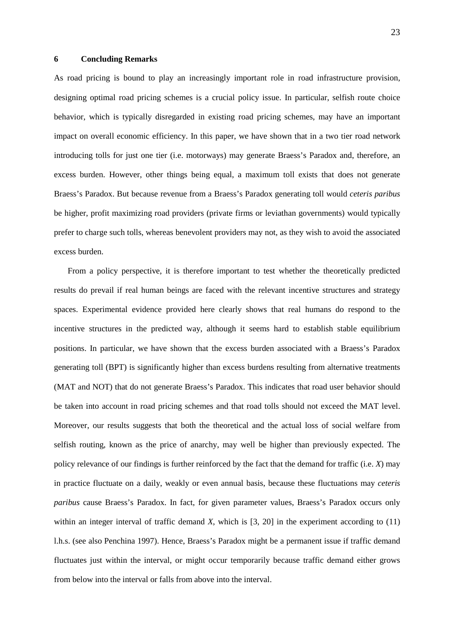#### **6 Concluding Remarks**

As road pricing is bound to play an increasingly important role in road infrastructure provision, designing optimal road pricing schemes is a crucial policy issue. In particular, selfish route choice behavior, which is typically disregarded in existing road pricing schemes, may have an important impact on overall economic efficiency. In this paper, we have shown that in a two tier road network introducing tolls for just one tier (i.e. motorways) may generate Braess's Paradox and, therefore, an excess burden. However, other things being equal, a maximum toll exists that does not generate Braess's Paradox. But because revenue from a Braess's Paradox generating toll would *ceteris paribus* be higher, profit maximizing road providers (private firms or leviathan governments) would typically prefer to charge such tolls, whereas benevolent providers may not, as they wish to avoid the associated excess burden.

From a policy perspective, it is therefore important to test whether the theoretically predicted results do prevail if real human beings are faced with the relevant incentive structures and strategy spaces. Experimental evidence provided here clearly shows that real humans do respond to the incentive structures in the predicted way, although it seems hard to establish stable equilibrium positions. In particular, we have shown that the excess burden associated with a Braess's Paradox generating toll (BPT) is significantly higher than excess burdens resulting from alternative treatments (MAT and NOT) that do not generate Braess's Paradox. This indicates that road user behavior should be taken into account in road pricing schemes and that road tolls should not exceed the MAT level. Moreover, our results suggests that both the theoretical and the actual loss of social welfare from selfish routing, known as the price of anarchy, may well be higher than previously expected. The policy relevance of our findings is further reinforced by the fact that the demand for traffic (i.e. *X*) may in practice fluctuate on a daily, weakly or even annual basis, because these fluctuations may *ceteris paribus* cause Braess's Paradox. In fact, for given parameter values, Braess's Paradox occurs only within an integer interval of traffic demand *X*, which is [3, 20] in the experiment according to (11) l.h.s. (see also Penchina 1997). Hence, Braess's Paradox might be a permanent issue if traffic demand fluctuates just within the interval, or might occur temporarily because traffic demand either grows from below into the interval or falls from above into the interval.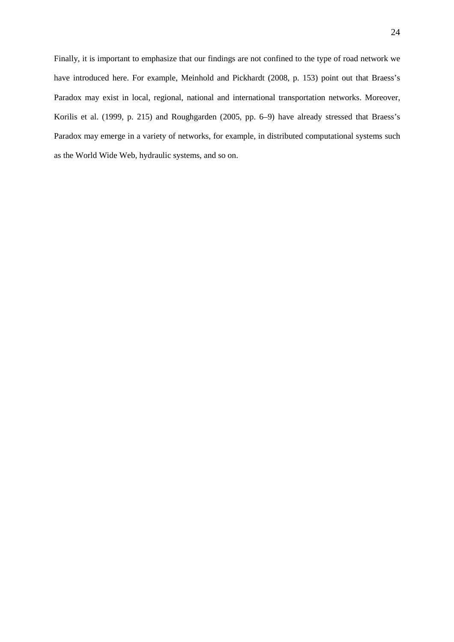Finally, it is important to emphasize that our findings are not confined to the type of road network we have introduced here. For example, Meinhold and Pickhardt (2008, p. 153) point out that Braess's Paradox may exist in local, regional, national and international transportation networks. Moreover, Korilis et al. (1999, p. 215) and Roughgarden (2005, pp. 6–9) have already stressed that Braess's Paradox may emerge in a variety of networks, for example, in distributed computational systems such as the World Wide Web, hydraulic systems, and so on.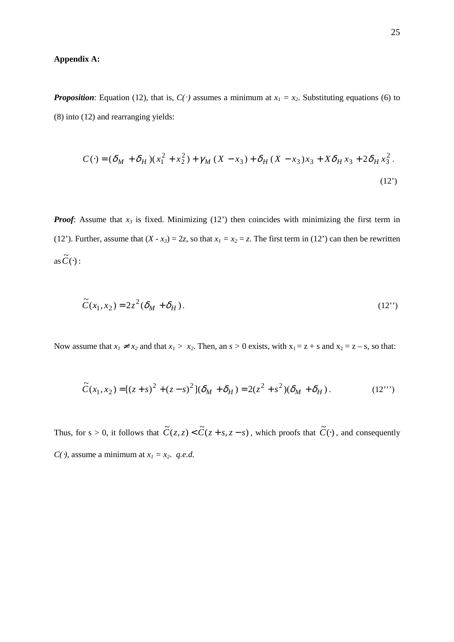# **Appendix A:**

*Proposition*: Equation (12), that is,  $C(\cdot)$  assumes a minimum at  $x_1 = x_2$ . Substituting equations (6) to (8) into (12) and rearranging yields:

$$
C(\cdot) = (\delta_M + \delta_H)(x_1^2 + x_2^2) + \gamma_M (X - x_3) + \delta_H (X - x_3)x_3 + X\delta_H x_3 + 2\delta_H x_3^2.
$$
\n(12)

*Proof*: Assume that  $x_3$  is fixed. Minimizing (12') then coincides with minimizing the first term in (12'). Further, assume that  $(X - x_3) = 2z$ , so that  $x_1 = x_2 = z$ . The first term in (12') can then be rewritten as  $\widetilde{C}(\cdot)$  :

$$
\widetilde{C}(x_1, x_2) = 2z^2(\delta_M + \delta_H). \tag{12'}
$$

Now assume that  $x_1 \neq x_2$  and that  $x_1 > x_2$ . Then, an  $s > 0$  exists, with  $x_1 = z + s$  and  $x_2 = z - s$ , so that:

$$
\widetilde{C}(x_1, x_2) = [(z + s)^2 + (z - s)^2](\delta_M + \delta_H) = 2(z^2 + s^2)(\delta_M + \delta_H).
$$
 (12''')

Thus, for  $s > 0$ , it follows that  $\tilde{C}(z, z) < \tilde{C}(z + s, z - s)$ , which proofs that  $\tilde{C}(\cdot)$ , and consequently *C*( $\cdot$ ), assume a minimum at  $x_1 = x_2$ . *q.e.d.*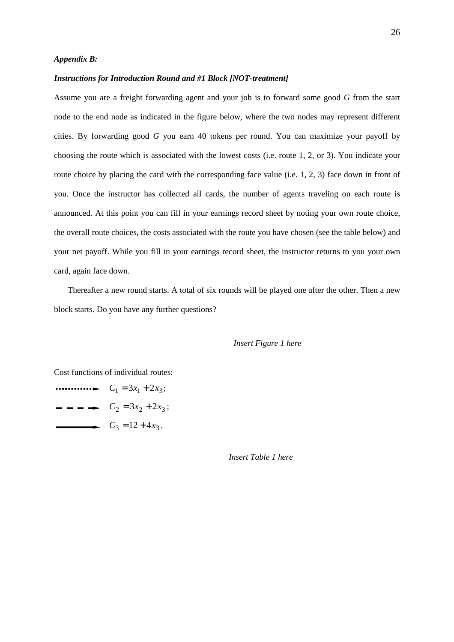#### *Appendix B:*

#### *Instructions for Introduction Round and #1 Block [NOT-treatment]*

Assume you are a freight forwarding agent and your job is to forward some good *G* from the start node to the end node as indicated in the figure below, where the two nodes may represent different cities. By forwarding good *G* you earn 40 tokens per round. You can maximize your payoff by choosing the route which is associated with the lowest costs (i.e. route 1, 2, or 3). You indicate your route choice by placing the card with the corresponding face value (i.e. 1, 2, 3) face down in front of you. Once the instructor has collected all cards, the number of agents traveling on each route is announced. At this point you can fill in your earnings record sheet by noting your own route choice, the overall route choices, the costs associated with the route you have chosen (see the table below) and your net payoff. While you fill in your earnings record sheet, the instructor returns to you your own card, again face down.

Thereafter a new round starts. A total of six rounds will be played one after the other. Then a new block starts. Do you have any further questions?

#### *Insert Figure 1 here*

Cost functions of individual routes:

 $\cdots$   $\cdots$   $\cdots$   $\cdots$   $\cdots$   $C_1 = 3x_1 + 2x_3;$  $\rightarrow$   $C_2 = 3x_2 + 2x_3;$  $C_3 = 12 + 4x_3$ .

 *Insert Table 1 here*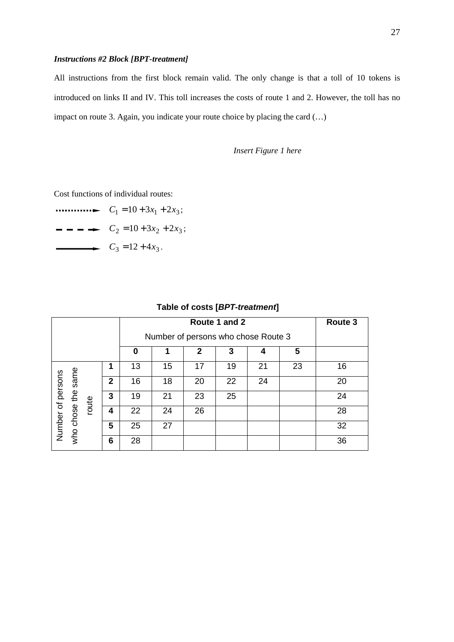# *Instructions #2 Block [BPT-treatment]*

All instructions from the first block remain valid. The only change is that a toll of 10 tokens is introduced on links II and IV. This toll increases the costs of route 1 and 2. However, the toll has no impact on route 3. Again, you indicate your route choice by placing the card (…)

*Insert Figure 1 here* 

Cost functions of individual routes:

 $\cdots$   $\cdots$   $\cdots$   $\cdots$   $\cdots$   $C_1 = 10 + 3x_1 + 2x_3;$  $\rightarrow$   $C_2 = 10 + 3x_2 + 2x_3;$  $C_3 = 12 + 4x_3$ .

|  | Route 3                                      |       |                |    |    |    |    |    |    |    |  |
|--|----------------------------------------------|-------|----------------|----|----|----|----|----|----|----|--|
|  |                                              |       |                |    |    |    |    |    |    |    |  |
|  | 5<br>3<br>$\mathbf{2}$<br>$\bf{0}$<br>1<br>4 |       |                |    |    |    |    |    |    |    |  |
|  | same<br>Number of persons                    |       | 1              | 13 | 15 | 17 | 19 | 21 | 23 | 16 |  |
|  |                                              | route | $\overline{2}$ | 16 | 18 | 20 | 22 | 24 |    | 20 |  |
|  |                                              |       | 3              | 19 | 21 | 23 | 25 |    |    | 24 |  |
|  |                                              |       | 4              | 22 | 24 | 26 |    |    |    | 28 |  |
|  | who chose the                                |       | 5              | 25 | 27 |    |    |    |    | 32 |  |
|  |                                              |       | 6              | 28 |    |    |    |    |    | 36 |  |

# **Table of costs [BPT-treatment]**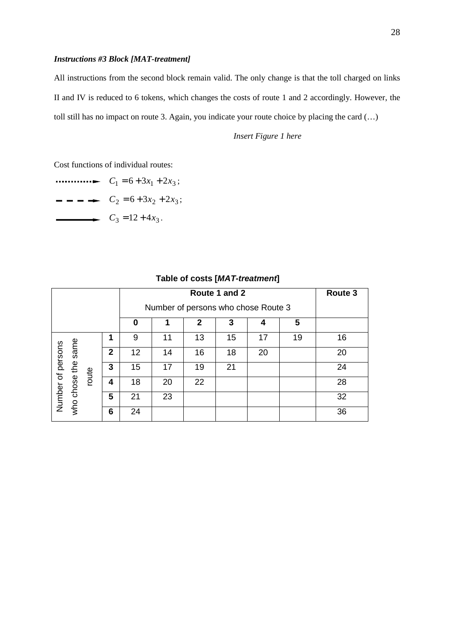# *Instructions #3 Block [MAT-treatment]*

All instructions from the second block remain valid. The only change is that the toll charged on links II and IV is reduced to 6 tokens, which changes the costs of route 1 and 2 accordingly. However, the toll still has no impact on route 3. Again, you indicate your route choice by placing the card (…)

*Insert Figure 1 here* 

Cost functions of individual routes:

 $\cdots$   $\cdots$   $\cdots$   $\cdots$   $\cdots$   $C_1 = 6 + 3x_1 + 2x_3$ ;  $- - - \rightarrow$   $C_2 = 6 + 3x_2 + 2x_3;$  $C_3 = 12 + 4x_3$ .

| Route 1 and 2     |               |       |                |    |    |    |    |    |    | Route 3 |
|-------------------|---------------|-------|----------------|----|----|----|----|----|----|---------|
|                   |               |       |                |    |    |    |    |    |    |         |
|                   |               |       |                | 0  |    | 2  | 3  | 4  | 5  |         |
|                   |               |       | 1              | 9  | 11 | 13 | 15 | 17 | 19 | 16      |
|                   | same          | route | $\overline{2}$ | 12 | 14 | 16 | 18 | 20 |    | 20      |
|                   |               |       | 3              | 15 | 17 | 19 | 21 |    |    | 24      |
|                   |               |       | 4              | 18 | 20 | 22 |    |    |    | 28      |
| Number of persons | who chose the |       | 5              | 21 | 23 |    |    |    |    | 32      |
|                   |               |       | 6              | 24 |    |    |    |    |    | 36      |

## **Table of costs [MAT-treatment]**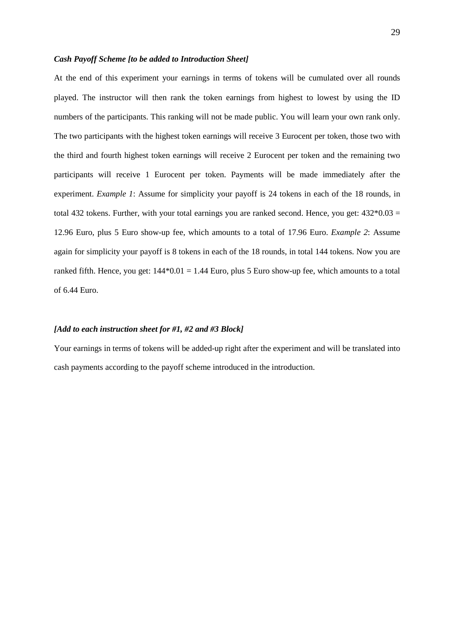## *Cash Payoff Scheme [to be added to Introduction Sheet]*

At the end of this experiment your earnings in terms of tokens will be cumulated over all rounds played. The instructor will then rank the token earnings from highest to lowest by using the ID numbers of the participants. This ranking will not be made public. You will learn your own rank only. The two participants with the highest token earnings will receive 3 Eurocent per token, those two with the third and fourth highest token earnings will receive 2 Eurocent per token and the remaining two participants will receive 1 Eurocent per token. Payments will be made immediately after the experiment. *Example 1*: Assume for simplicity your payoff is 24 tokens in each of the 18 rounds, in total 432 tokens. Further, with your total earnings you are ranked second. Hence, you get:  $432*0.03 =$ 12.96 Euro, plus 5 Euro show-up fee, which amounts to a total of 17.96 Euro. *Example 2*: Assume again for simplicity your payoff is 8 tokens in each of the 18 rounds, in total 144 tokens. Now you are ranked fifth. Hence, you get:  $144*0.01 = 1.44$  Euro, plus 5 Euro show-up fee, which amounts to a total of 6.44 Euro.

# *[Add to each instruction sheet for #1, #2 and #3 Block]*

Your earnings in terms of tokens will be added-up right after the experiment and will be translated into cash payments according to the payoff scheme introduced in the introduction.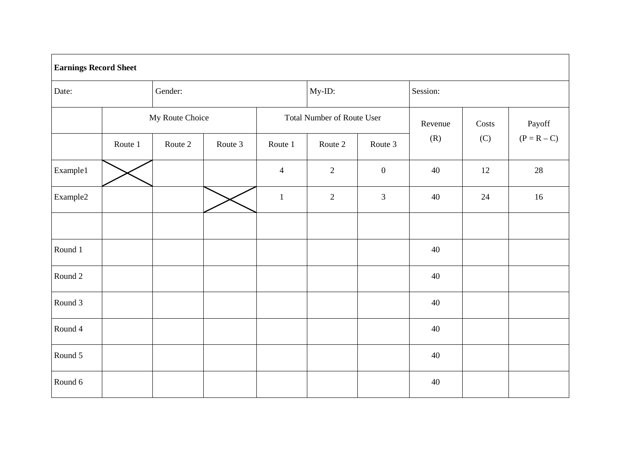|          | <b>Earnings Record Sheet</b> |                 |         |                                   |                |                  |          |       |               |  |  |  |
|----------|------------------------------|-----------------|---------|-----------------------------------|----------------|------------------|----------|-------|---------------|--|--|--|
| Date:    |                              | Gender:         |         |                                   | My-ID:         |                  | Session: |       |               |  |  |  |
|          |                              | My Route Choice |         | <b>Total Number of Route User</b> |                |                  | Revenue  | Costs | Payoff        |  |  |  |
|          | Route 1                      | Route 2         | Route 3 | Route 1                           | Route 2        | Route 3          | (R)      | (C)   | $(P = R - C)$ |  |  |  |
| Example1 |                              |                 |         | $\overline{4}$                    | $\overline{2}$ | $\boldsymbol{0}$ | 40       | 12    | $28\,$        |  |  |  |
| Example2 |                              |                 |         | $\mathbf{1}$                      | $\overline{2}$ | $\mathfrak{Z}$   | 40       | 24    | 16            |  |  |  |
|          |                              |                 |         |                                   |                |                  |          |       |               |  |  |  |
| Round 1  |                              |                 |         |                                   |                |                  | 40       |       |               |  |  |  |
| Round 2  |                              |                 |         |                                   |                |                  | 40       |       |               |  |  |  |
| Round 3  |                              |                 |         |                                   |                |                  | 40       |       |               |  |  |  |
| Round 4  |                              |                 |         |                                   |                |                  | 40       |       |               |  |  |  |
| Round 5  |                              |                 |         |                                   |                |                  | 40       |       |               |  |  |  |
| Round 6  |                              |                 |         |                                   |                |                  | 40       |       |               |  |  |  |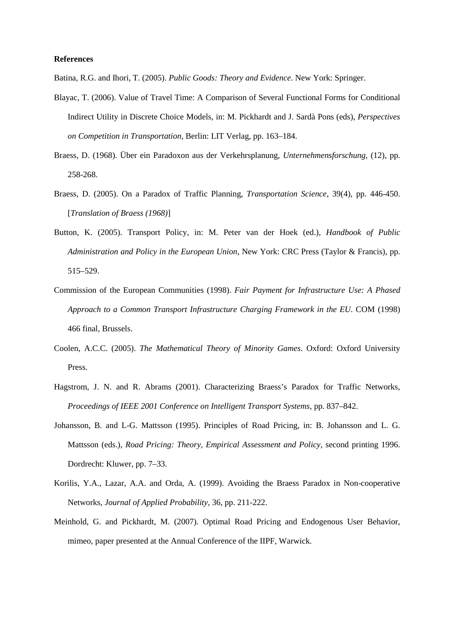#### **References**

Batina, R.G. and Ihori, T. (2005). *Public Goods: Theory and Evidence*. New York: Springer.

- Blayac, T. (2006). Value of Travel Time: A Comparison of Several Functional Forms for Conditional Indirect Utility in Discrete Choice Models, in: M. Pickhardt and J. Sardà Pons (eds), *Perspectives on Competition in Transportation*, Berlin: LIT Verlag, pp. 163–184.
- Braess, D. (1968). Über ein Paradoxon aus der Verkehrsplanung, *Unternehmensforschung*, (12), pp. 258-268.
- Braess, D. (2005). On a Paradox of Traffic Planning, *Transportation Science*, 39(4), pp. 446-450. [*Translation of Braess (1968)*]
- Button, K. (2005). Transport Policy, in: M. Peter van der Hoek (ed.), *Handbook of Public Administration and Policy in the European Union*, New York: CRC Press (Taylor & Francis), pp. 515–529.
- Commission of the European Communities (1998). *Fair Payment for Infrastructure Use: A Phased Approach to a Common Transport Infrastructure Charging Framework in the EU*. COM (1998) 466 final, Brussels.
- Coolen, A.C.C. (2005). *The Mathematical Theory of Minority Games*. Oxford: Oxford University Press.
- Hagstrom, J. N. and R. Abrams (2001). Characterizing Braess's Paradox for Traffic Networks, *Proceedings of IEEE 2001 Conference on Intelligent Transport Systems*, pp. 837–842.
- Johansson, B. and L-G. Mattsson (1995). Principles of Road Pricing, in: B. Johansson and L. G. Mattsson (eds.), *Road Pricing: Theory, Empirical Assessment and Policy*, second printing 1996. Dordrecht: Kluwer, pp. 7–33.
- Korilis, Y.A., Lazar, A.A. and Orda, A. (1999). Avoiding the Braess Paradox in Non-cooperative Networks, *Journal of Applied Probability*, 36, pp. 211-222.
- Meinhold, G. and Pickhardt, M. (2007). Optimal Road Pricing and Endogenous User Behavior, mimeo, paper presented at the Annual Conference of the IIPF, Warwick.